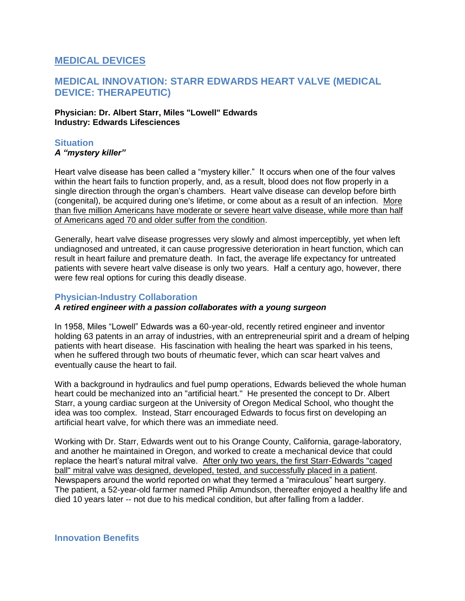# **MEDICAL DEVICES**

# **MEDICAL INNOVATION: STARR EDWARDS HEART VALVE (MEDICAL DEVICE: THERAPEUTIC)**

#### **Physician: Dr. Albert Starr, Miles "Lowell" Edwards Industry: Edwards Lifesciences**

## **Situation**

### *A "mystery killer"*

Heart valve disease has been called a "mystery killer." It occurs when one of the four valves within the heart fails to function properly, and, as a result, blood does not flow properly in a single direction through the organ's chambers. Heart valve disease can develop before birth (congenital), be acquired during one's lifetime, or come about as a result of an infection. More than five million Americans have moderate or severe heart valve disease, while more than half of Americans aged 70 and older suffer from the condition.

Generally, heart valve disease progresses very slowly and almost imperceptibly, yet when left undiagnosed and untreated, it can cause progressive deterioration in heart function, which can result in heart failure and premature death. In fact, the average life expectancy for untreated patients with severe heart valve disease is only two years. Half a century ago, however, there were few real options for curing this deadly disease.

## **Physician-Industry Collaboration**

## *A retired engineer with a passion collaborates with a young surgeon*

In 1958, Miles "Lowell" Edwards was a 60-year-old, recently retired engineer and inventor holding 63 patents in an array of industries, with an entrepreneurial spirit and a dream of helping patients with heart disease. His fascination with healing the heart was sparked in his teens, when he suffered through two bouts of rheumatic fever, which can scar heart valves and eventually cause the heart to fail.

With a background in hydraulics and fuel pump operations, Edwards believed the whole human heart could be mechanized into an "artificial heart." He presented the concept to Dr. Albert Starr, a young cardiac surgeon at the University of Oregon Medical School, who thought the idea was too complex. Instead, Starr encouraged Edwards to focus first on developing an artificial heart valve, for which there was an immediate need.

Working with Dr. Starr, Edwards went out to his Orange County, California, garage-laboratory, and another he maintained in Oregon, and worked to create a mechanical device that could replace the heart's natural mitral valve. After only two years, the first Starr-Edwards "caged ball" mitral valve was designed, developed, tested, and successfully placed in a patient. Newspapers around the world reported on what they termed a "miraculous" heart surgery. The patient, a 52-year-old farmer named Philip Amundson, thereafter enjoyed a healthy life and died 10 years later -- not due to his medical condition, but after falling from a ladder.

**Innovation Benefits**